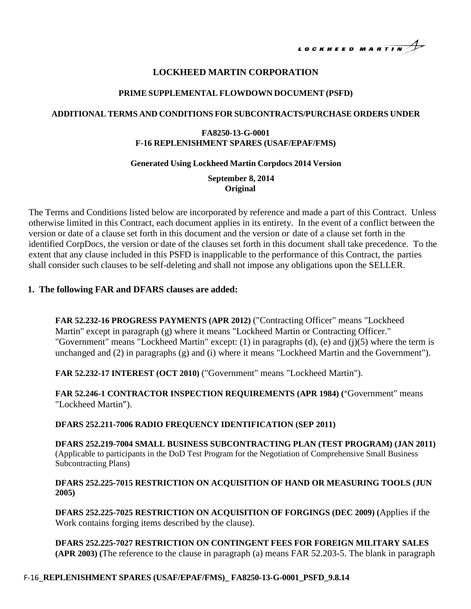LOCKHEED MARTIN

# **LOCKHEED MARTIN CORPORATION**

#### **PRIME SUPPLEMENTAL FLOWDOWN DOCUMENT (PSFD)**

#### **ADDITIONAL TERMS AND CONDITIONS FOR SUBCONTRACTS/PURCHASE ORDERS UNDER**

### **FA8250-13-G-0001 F-16 REPLENISHMENT SPARES (USAF/EPAF/FMS)**

#### **Generated Using Lockheed Martin Corpdocs 2014 Version**

**September 8, 2014 Original**

The Terms and Conditions listed below are incorporated by reference and made a part of this Contract. Unless otherwise limited in this Contract, each document applies in its entirety. In the event of a conflict between the version or date of a clause set forth in this document and the version or date of a clause set forth in the identified CorpDocs, the version or date of the clauses set forth in this document shall take precedence. To the extent that any clause included in this PSFD is inapplicable to the performance of this Contract, the parties shall consider such clauses to be self-deleting and shall not impose any obligations upon the SELLER.

### **1. The following FAR and DFARS clauses are added:**

**FAR 52.232-16 PROGRESS PAYMENTS (APR 2012)** ("Contracting Officer" means "Lockheed Martin" except in paragraph (g) where it means "Lockheed Martin or Contracting Officer." "Government" means "Lockheed Martin" except: (1) in paragraphs (d), (e) and (j)(5) where the term is unchanged and (2) in paragraphs (g) and (i) where it means "Lockheed Martin and the Government").

**FAR 52.232-17 INTEREST (OCT 2010)** ("Government" means "Lockheed Martin").

**FAR 52.246-1 CONTRACTOR INSPECTION REQUIREMENTS (APR 1984) (**"Government" means "Lockheed Martin").

**DFARS 252.211-7006 RADIO FREQUENCY IDENTIFICATION (SEP 2011)**

**DFARS 252.219-7004 SMALL BUSINESS SUBCONTRACTING PLAN (TEST PROGRAM) (JAN 2011)** (Applicable to participants in the DoD Test Program for the Negotiation of Comprehensive Small Business Subcontracting Plans)

### **DFARS 252.225-7015 RESTRICTION ON ACQUISITION OF HAND OR MEASURING TOOLS (JUN 2005)**

**DFARS 252.225-7025 RESTRICTION ON ACQUISITION OF FORGINGS (DEC 2009) (**Applies if the Work contains forging items described by the clause).

**DFARS 252.225-7027 RESTRICTION ON CONTINGENT FEES FOR FOREIGN MILITARY SALES (APR 2003) (**The reference to the clause in paragraph (a) means FAR 52.203-5. The blank in paragraph

### F-16\_**REPLENISHMENT SPARES (USAF/EPAF/FMS)\_ FA8250-13-G-0001\_PSFD\_9.8.14**